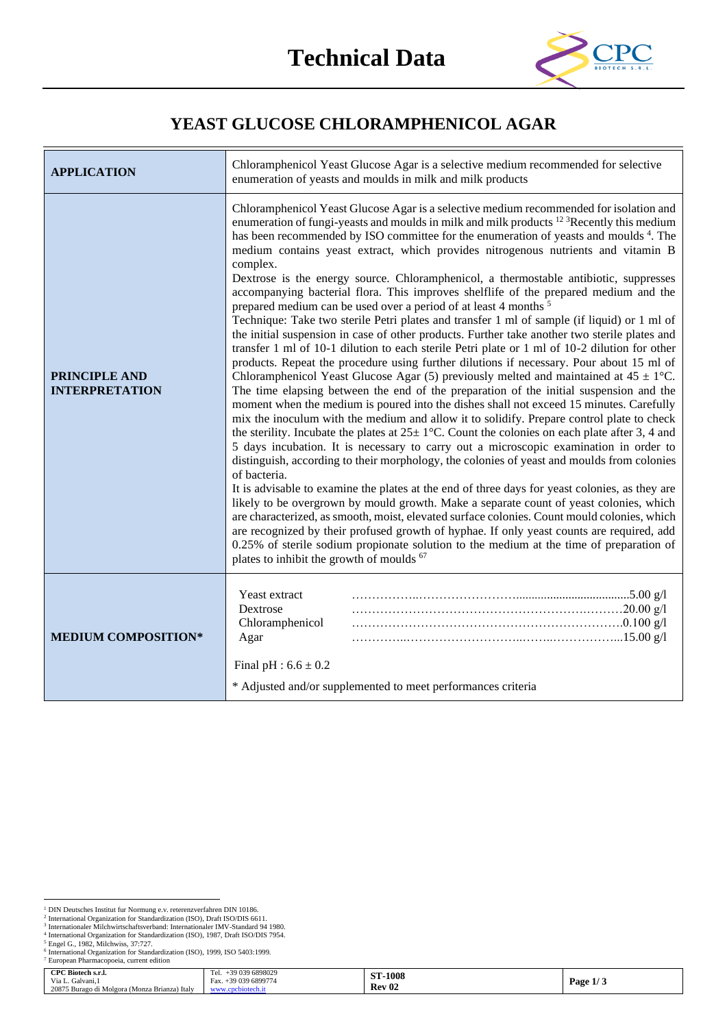

## **YEAST GLUCOSE CHLORAMPHENICOL AGAR**

| <b>APPLICATION</b>                            | Chloramphenicol Yeast Glucose Agar is a selective medium recommended for selective<br>enumeration of yeasts and moulds in milk and milk products                                                                                                                                                                                                                                                                                                                                                                                                                                                                                                                                                                                                                                                                                                                                                                                                                                                                                                                                                                                                                                                                                                                                                                                                                                                                                                                                                                                                                                                                                                                                                                                                                                                                                                                                                                                                                                                                                                                                                                                                                                                                                                                                                              |  |  |
|-----------------------------------------------|---------------------------------------------------------------------------------------------------------------------------------------------------------------------------------------------------------------------------------------------------------------------------------------------------------------------------------------------------------------------------------------------------------------------------------------------------------------------------------------------------------------------------------------------------------------------------------------------------------------------------------------------------------------------------------------------------------------------------------------------------------------------------------------------------------------------------------------------------------------------------------------------------------------------------------------------------------------------------------------------------------------------------------------------------------------------------------------------------------------------------------------------------------------------------------------------------------------------------------------------------------------------------------------------------------------------------------------------------------------------------------------------------------------------------------------------------------------------------------------------------------------------------------------------------------------------------------------------------------------------------------------------------------------------------------------------------------------------------------------------------------------------------------------------------------------------------------------------------------------------------------------------------------------------------------------------------------------------------------------------------------------------------------------------------------------------------------------------------------------------------------------------------------------------------------------------------------------------------------------------------------------------------------------------------------------|--|--|
| <b>PRINCIPLE AND</b><br><b>INTERPRETATION</b> | Chloramphenicol Yeast Glucose Agar is a selective medium recommended for isolation and<br>enumeration of fungi-yeasts and moulds in milk and milk products <sup>12 3</sup> Recently this medium<br>has been recommended by ISO committee for the enumeration of yeasts and moulds 4. The<br>medium contains yeast extract, which provides nitrogenous nutrients and vitamin B<br>complex.<br>Dextrose is the energy source. Chloramphenicol, a thermostable antibiotic, suppresses<br>accompanying bacterial flora. This improves shelflife of the prepared medium and the<br>prepared medium can be used over a period of at least 4 months <sup>5</sup><br>Technique: Take two sterile Petri plates and transfer 1 ml of sample (if liquid) or 1 ml of<br>the initial suspension in case of other products. Further take another two sterile plates and<br>transfer 1 ml of 10-1 dilution to each sterile Petri plate or 1 ml of 10-2 dilution for other<br>products. Repeat the procedure using further dilutions if necessary. Pour about 15 ml of<br>Chloramphenicol Yeast Glucose Agar (5) previously melted and maintained at $45 \pm 1^{\circ}$ C.<br>The time elapsing between the end of the preparation of the initial suspension and the<br>moment when the medium is poured into the dishes shall not exceed 15 minutes. Carefully<br>mix the inoculum with the medium and allow it to solidify. Prepare control plate to check<br>the sterility. Incubate the plates at $25 \pm 1^{\circ}$ C. Count the colonies on each plate after 3, 4 and<br>5 days incubation. It is necessary to carry out a microscopic examination in order to<br>distinguish, according to their morphology, the colonies of yeast and moulds from colonies<br>of bacteria.<br>It is advisable to examine the plates at the end of three days for yeast colonies, as they are<br>likely to be overgrown by mould growth. Make a separate count of yeast colonies, which<br>are characterized, as smooth, moist, elevated surface colonies. Count mould colonies, which<br>are recognized by their profused growth of hyphae. If only yeast counts are required, add<br>0.25% of sterile sodium propionate solution to the medium at the time of preparation of<br>plates to inhibit the growth of moulds <sup>67</sup> |  |  |
| <b>MEDIUM COMPOSITION*</b>                    | Yeast extract<br>Dextrose<br>Chloramphenicol<br>Agar                                                                                                                                                                                                                                                                                                                                                                                                                                                                                                                                                                                                                                                                                                                                                                                                                                                                                                                                                                                                                                                                                                                                                                                                                                                                                                                                                                                                                                                                                                                                                                                                                                                                                                                                                                                                                                                                                                                                                                                                                                                                                                                                                                                                                                                          |  |  |
|                                               | Final pH : $6.6 \pm 0.2$<br>* Adjusted and/or supplemented to meet performances criteria                                                                                                                                                                                                                                                                                                                                                                                                                                                                                                                                                                                                                                                                                                                                                                                                                                                                                                                                                                                                                                                                                                                                                                                                                                                                                                                                                                                                                                                                                                                                                                                                                                                                                                                                                                                                                                                                                                                                                                                                                                                                                                                                                                                                                      |  |  |

| <b>CPC Biotech s.r.l.</b>                     | Tel.<br>9 039 6898029   | -1008<br>CTT  |                |
|-----------------------------------------------|-------------------------|---------------|----------------|
| Via L.<br>Galvani. 1                          | -39 039 6899774<br>Fax. | 0. L.         | Page<br>ن المد |
| 20875 Burago di Molgora (Monza Brianza) Italy | cbiotech.it<br>www.     | <b>Rev 02</b> |                |

<sup>&</sup>lt;sup>1</sup> DIN Deutsches Institut fur Normung e.v. reterenzverfahren DIN 10186.<br><sup>2</sup> International Organization for Standardization (ISO), Draft ISO/DIS 6611.<br><sup>3</sup> Internationaler Milchwirtschaftsverband: Internationaler IMV-Standa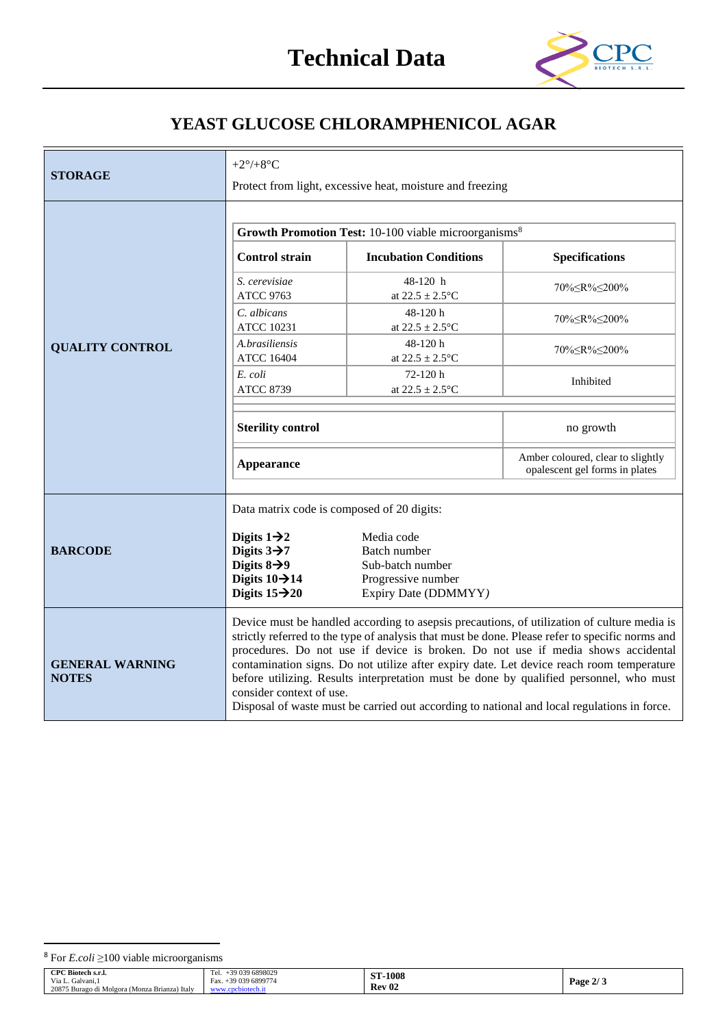

## **YEAST GLUCOSE CHLORAMPHENICOL AGAR**

|                                        | +2 $\degree$ /+8 $\degree$ C                                                                                                                                                                                                                                                                                                                                                                                                                                                                                                                                                                        |                                                                                              |                                                                     |  |
|----------------------------------------|-----------------------------------------------------------------------------------------------------------------------------------------------------------------------------------------------------------------------------------------------------------------------------------------------------------------------------------------------------------------------------------------------------------------------------------------------------------------------------------------------------------------------------------------------------------------------------------------------------|----------------------------------------------------------------------------------------------|---------------------------------------------------------------------|--|
| <b>STORAGE</b>                         | Protect from light, excessive heat, moisture and freezing                                                                                                                                                                                                                                                                                                                                                                                                                                                                                                                                           |                                                                                              |                                                                     |  |
|                                        |                                                                                                                                                                                                                                                                                                                                                                                                                                                                                                                                                                                                     |                                                                                              |                                                                     |  |
|                                        |                                                                                                                                                                                                                                                                                                                                                                                                                                                                                                                                                                                                     | Growth Promotion Test: 10-100 viable microorganisms <sup>8</sup>                             |                                                                     |  |
|                                        | <b>Control strain</b>                                                                                                                                                                                                                                                                                                                                                                                                                                                                                                                                                                               | <b>Incubation Conditions</b>                                                                 | <b>Specifications</b>                                               |  |
|                                        | S. cerevisiae<br><b>ATCC 9763</b>                                                                                                                                                                                                                                                                                                                                                                                                                                                                                                                                                                   | 48-120 h<br>at $22.5 \pm 2.5$ °C                                                             | 70% <<br>R%<200%                                                    |  |
|                                        | C. albicans<br><b>ATCC 10231</b>                                                                                                                                                                                                                                                                                                                                                                                                                                                                                                                                                                    | 48-120h<br>at $22.5 \pm 2.5$ °C                                                              | 70%≤R%≤200%                                                         |  |
| <b>QUALITY CONTROL</b>                 | A.brasiliensis<br><b>ATCC 16404</b>                                                                                                                                                                                                                                                                                                                                                                                                                                                                                                                                                                 | 48-120h<br>at $22.5 \pm 2.5$ °C                                                              | 70% <<br>R%<200%                                                    |  |
|                                        | E. coli<br><b>ATCC 8739</b>                                                                                                                                                                                                                                                                                                                                                                                                                                                                                                                                                                         | $72-120h$<br>at $22.5 \pm 2.5$ °C                                                            | Inhibited                                                           |  |
|                                        | <b>Sterility control</b>                                                                                                                                                                                                                                                                                                                                                                                                                                                                                                                                                                            |                                                                                              | no growth                                                           |  |
|                                        | <b>Appearance</b>                                                                                                                                                                                                                                                                                                                                                                                                                                                                                                                                                                                   |                                                                                              | Amber coloured, clear to slightly<br>opalescent gel forms in plates |  |
| <b>BARCODE</b>                         | Data matrix code is composed of 20 digits:<br>Digits $1\rightarrow 2$<br>Digits $3\rightarrow 7$<br>Digits $8\rightarrow 9$<br>Digits $10 \rightarrow 14$<br>Digits $15 \rightarrow 20$                                                                                                                                                                                                                                                                                                                                                                                                             | Media code<br>Batch number<br>Sub-batch number<br>Progressive number<br>Expiry Date (DDMMYY) |                                                                     |  |
| <b>GENERAL WARNING</b><br><b>NOTES</b> | Device must be handled according to asepsis precautions, of utilization of culture media is<br>strictly referred to the type of analysis that must be done. Please refer to specific norms and<br>procedures. Do not use if device is broken. Do not use if media shows accidental<br>contamination signs. Do not utilize after expiry date. Let device reach room temperature<br>before utilizing. Results interpretation must be done by qualified personnel, who must<br>consider context of use.<br>Disposal of waste must be carried out according to national and local regulations in force. |                                                                                              |                                                                     |  |

| CPC Biotech s.r.l.                            | $\sim$<br>-39 039 6898029<br>Tel. | CID<br>$-1008$ |                                                      |
|-----------------------------------------------|-----------------------------------|----------------|------------------------------------------------------|
| Via L. Galvani.                               | -39 039 6899774<br>Fax.           | 91             | $\bullet$<br>Page 2<br>$\overline{\phantom{a}}$<br>ູ |
| 20875 Burago di Molgora (Monza Brianza) Italy |                                   | <b>Rev 02</b>  |                                                      |